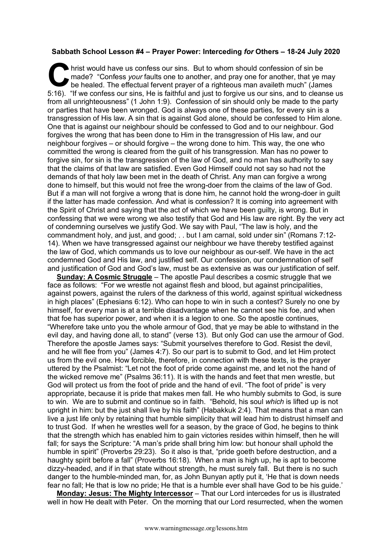## **Sabbath School Lesson #4 – Prayer Power: Interceding** *for* **Others – 18-24 July 2020**

hrist would have us confess our sins. But to whom should confession of sin be made? "Confess *your* faults one to another, and pray one for another, that ye may be healed. The effectual fervent prayer of a righteous man availeth much" (James If would have us confess our sins. But to whom should confession of sin be made? "Confess *your* faults one to another, and pray one for another, that ye may be healed. The effectual fervent prayer of a righteous man avail from all unrighteousness" (1 John 1:9). Confession of sin should only be made to the party or parties that have been wronged. God is always one of these parties, for every sin is a transgression of His law. A sin that is against God alone, should be confessed to Him alone. One that is against our neighbour should be confessed to God and to our neighbour. God forgives the wrong that has been done to Him in the transgression of His law, and our neighbour forgives – or should forgive – the wrong done to him. This way, the one who committed the wrong is cleared from the guilt of his transgression. Man has no power to forgive sin, for sin is the transgression of the law of God, and no man has authority to say that the claims of that law are satisfied. Even God Himself could not say so had not the demands of that holy law been met in the death of Christ. Any man can forgive a wrong done to himself, but this would not free the wrong-doer from the claims of the law of God. But if a man will not forgive a wrong that is done him, he cannot hold the wrong-doer in guilt if the latter has made confession. And what is confession? It is coming into agreement with the Spirit of Christ and saying that the act of which we have been guilty, is wrong. But in confessing that we were wrong we also testify that God and His law are right. By the very act of condemning ourselves we justify God. We say with Paul, "The law is holy, and the commandment holy, and just, and good; . . but I am carnal, sold under sin" (Romans 7:12- 14). When we have transgressed against our neighbour we have thereby testified against the law of God, which commands us to love our neighbour as our-self. We have in the act condemned God and His law, and justified self. Our confession, our condemnation of self and justification of God and God's law, must be as extensive as was our justification of self.

**Sunday: A Cosmic Struggle** – The apostle Paul describes a cosmic struggle that we face as follows: "For we wrestle not against flesh and blood, but against principalities, against powers, against the rulers of the darkness of this world, against spiritual wickedness in high places" (Ephesians 6:12). Who can hope to win in such a contest? Surely no one by himself, for every man is at a terrible disadvantage when he cannot see his foe, and when that foe has superior power, and when it is a legion to one. So the apostle continues, "Wherefore take unto you the whole armour of God, that ye may be able to withstand in the evil day, and having done all, to stand" (verse 13). But only God can use the armour of God. Therefore the apostle James says: "Submit yourselves therefore to God. Resist the devil, and he will flee from you" (James 4:7). So our part is to submit to God, and let Him protect us from the evil one. How forcible, therefore, in connection with these texts, is the prayer uttered by the Psalmist: "Let not the foot of pride come against me, and let not the hand of the wicked remove me" (Psalms 36:11). It is with the hands and feet that men wrestle, but God will protect us from the foot of pride and the hand of evil. "The foot of pride" is very appropriate, because it is pride that makes men fall. He who humbly submits to God, is sure to win. We are to submit and continue so in faith. "Behold, his soul *which* is lifted up is not upright in him: but the just shall live by his faith" (Habakkuk 2:4). That means that a man can live a just life only by retaining that humble simplicity that will lead him to distrust himself and to trust God. If when he wrestles well for a season, by the grace of God, he begins to think that the strength which has enabled him to gain victories resides within himself, then he will fall; for says the Scripture: "A man's pride shall bring him low: but honour shall uphold the humble in spirit" (Proverbs 29:23). So it also is that, "pride goeth before destruction, and a haughty spirit before a fall" (Proverbs 16:18). When a man is high up, he is apt to become dizzy-headed, and if in that state without strength, he must surely fall. But there is no such danger to the humble-minded man, for, as John Bunyan aptly put it, 'He that is down needs fear no fall; He that is low no pride; He that is a humble ever shall have God to be his guide.'

**Monday: Jesus: The Mighty Intercessor** – That our Lord intercedes for us is illustrated well in how He dealt with Peter. On the morning that our Lord resurrected, when the women